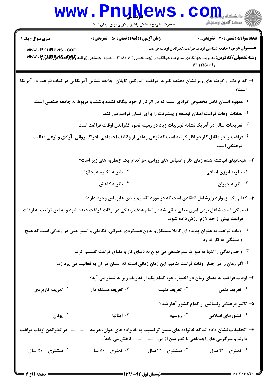## **www.PnuNews.com** ر سکر آزمون وسنجش<br>۱۸۷۷ - مرکز آزمون وسنجش

حضرت علی(ع): دانش راهبر نیکویی برای ایمان است

**تعداد سوالات : تستی : 30 ٪ تشریحی : 0** 

**زمان آزمون (دقیقه) : تستی : 50 ٪ تشریحی: 0** 

**سری سوال :** یک ۱

عنـــوان درس: جامعه شناسي اوقات فراغت،گذراندن اوقات فراغت

www.PnuNews.com

رشته تحصیلی/کد درس: مدیریت جهانگردی،مدیریت جهانگردی (چندبخشی ) ۱۲۱۸۰۰۵ - ،علوم اجتماعی (برنامه अww. PpyuNgygy ١٢٢٢٢١٥ (٥٤٠)

- ۱– کدام یک از گزینه های زیر نشان دهنده نظریه ًفراغت آمارکس کاپلان" جامعه شناس آمریکایی در کتاب فراغت در آمریکا
	- ۰۱ مفهوم انسان کامل مخصوص افرادی است که در اثرکار از خود بیگانه نشده باشند و مربوط به جامعه صنعتی است.
		- <sup>۲</sup>۰ لحظات اوقات فراغت امکان توسعه و پیشرفت را برای انسان فراهم می کند.
		- **4 · تفريحات سالم در آمريكا نشانه تجربيات زياد در زمينه نحوه گذراندن اوقات فراغت است.**
	- <sup>۴</sup>۰ فراغت را در مقابل کار در نظر گرفته است که نوعی رهایی از وظایف اجتماعی، ادراک روانی، آزادی و نوعی فعالیت فرهنگی است.
		- ۲– هیجانهای انباشته شده زمان کار و انقباض های روانی، جز کدام یک ازنظریه های زیر است؟
		- <sup>۲</sup>۰ نظریه تخلیه هیجانها ۰۱ نظریه انرژی اضافی ۰<sup>۴</sup> نظریه کاهش ۰۳ نظریه جبران
			- ۳- کدام یک ازموارد زیرشامل انتقادی است که در مورد تقسیم بندی هابرماس وجود دارد؟
	- ۰۱ ممکن است شاغل بودن امری منفی تلقی شده و تمام هدف زندگی در اوقات فراغت دیده شود و به این ترتیب به اوقات فراغت بیش از حد لازم ارزش داده شود.
	- <sup>۲ .</sup> اوقات فراغت به عنوان پدیده ای کاملا مستقل و بدون عملکردی جبرانی، تکاملی و استراحتی در زندگی است که هیچ وابستگی به کار ندارد.
		- ۰<sup>۳</sup> واحد زندگی را تنها به صورت غیرطبیعی می توان به دنیای کار و دنیای فراغت تقسیم کرد.
		- <sup>۴ .</sup> اگر زمان را در اجبار اوقات فراغت بنامیم این زمان زمانی است که انسان در آن به فعالیت می پردازد.
			- ۴- اوقات فراغت به معنای زمان در اختیار، جزء کدام یک از تعاریف زیر به شمار می آید؟
- ۰۴ تعریف کاربردی ۰۳ تعریف مسئله دار ۰۲ تعریف مثبت ۰۱ تعریف منفی ۵- تاثیر فرهنگی رنسانس از کدام کشور آغاز شد؟ ۰۱ کشورهای اسلامی ونان  $\cdot^{\mathfrak{r}}$ ا سالىب  $\cdot$   $^{\circ}$ ۰<sup>۲</sup> روسیه ۶– ″تحقیقات نشان داده اند که خانواده های مسن تر نسبت به خانواده های جوان، هزینه ................. در گذراندن اوقات فراغت دارند و سرگرمی های اجتماعی با گذر سن از مرز ................... کاهش می یابد ؒ. ۰۴ بیشتری - ۵۰ سال کمتری - ۵۰ سال  $\cdot$ ۰۲ بیشتری- ۴۴ سال ۰۱ کمتری- ۴۴ سال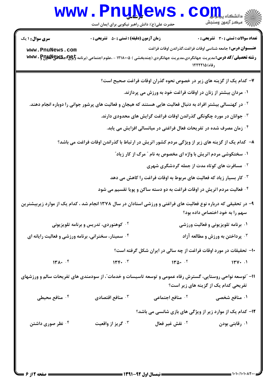|                                                                                                                                                    | www.rnuwews                                                                                                                                                                                                                           | حضرت علی(ع): دانش راهبر نیکویی برای ایمان است | ڪ دانشڪاه پ <b>يا ۾ <mark>و.</mark></b><br>ر∕ <sup>5</sup> مرڪز آزمون وسنڊش                                                                       |  |
|----------------------------------------------------------------------------------------------------------------------------------------------------|---------------------------------------------------------------------------------------------------------------------------------------------------------------------------------------------------------------------------------------|-----------------------------------------------|---------------------------------------------------------------------------------------------------------------------------------------------------|--|
| <b>سری سوال : ۱ یک</b>                                                                                                                             | <b>زمان آزمون (دقیقه) : تستی : 50 ٪ تشریحی : 0</b>                                                                                                                                                                                    |                                               | <b>تعداد سوالات : تستی : 30 ٪ تشریحی : 0</b>                                                                                                      |  |
| www.PnuNews.com                                                                                                                                    | <b>عنــــوان درس:</b> جامعه شناسی اوقات فراغت،گذراندن اوقات فراغت<br><b>رشته تحصیلی/کد درس: م</b> دیریت جهانگردی،مدیریت جهانگردی (چندبخشی ) ۱۲۱۸۰۰۵ - ،علوم اجتماعی (برنامه <b>تایپانچا) جگالایالایالاس</b> www . Pp<br>رفاه) ۱۲۲۲۲۱۵ |                                               |                                                                                                                                                   |  |
|                                                                                                                                                    |                                                                                                                                                                                                                                       |                                               | ۷- کدام یک از گزینه های زیر در خصوص نحوه گذران اوقات فراغت صحیح است؟                                                                              |  |
|                                                                                                                                                    |                                                                                                                                                                                                                                       |                                               | ۰۱ مردان بیشتر از زنان در اوقات فراغت خود به ورزش می پردازند.                                                                                     |  |
| <sup>۲</sup> ۰ در کهنسالی بیشتر افراد به دنبال فعالیت هایی هستند که هیجان و فعالیت های پرشور جوانی را دوباره انجام دهند.                           |                                                                                                                                                                                                                                       |                                               |                                                                                                                                                   |  |
| ۰۳ جوانان در مورد چگونگی گذراندن اوقات فراغت گرایش های محدودی دارند.                                                                               |                                                                                                                                                                                                                                       |                                               |                                                                                                                                                   |  |
| ۰۴ زمان مصرف شده در تفریحات فعال فراغتی در میانسالی افزایش می یابد.                                                                                |                                                                                                                                                                                                                                       |                                               |                                                                                                                                                   |  |
| ۸− کدام یک از گزینه های زیر از ویژگی مردم کشور اتریش در ارتباط با گذراندن اوقات فراغت می باشد؟                                                     |                                                                                                                                                                                                                                       |                                               |                                                                                                                                                   |  |
| ۰۱ سختکوشی مردم اتریش با واژه ای مخصوص به نام ″ مرگ از کار زیاد″                                                                                   |                                                                                                                                                                                                                                       |                                               |                                                                                                                                                   |  |
| <sup>۰۲</sup> مسافرت های کوتاه مدت از جمله گردشگری شهری                                                                                            |                                                                                                                                                                                                                                       |                                               |                                                                                                                                                   |  |
|                                                                                                                                                    |                                                                                                                                                                                                                                       |                                               | ۰۳ کار بسیار زیاد که فعالیت های مربوط به اوقات فراغت را کاهش می دهد                                                                               |  |
|                                                                                                                                                    |                                                                                                                                                                                                                                       |                                               | <sup>۰۴</sup> فعالیت مردم اتریش در اوقات فراغت به دو دسته ساکن و پویا تقسیم می شود                                                                |  |
|                                                                                                                                                    |                                                                                                                                                                                                                                       |                                               | ۹– در تحقیقی که درباره نوع فعالیت های فراغتی و ورزشی استادان در سال ۱۳۷۸ انجام شد ، کدام یک از موارد زیربیشترین<br>سهم را به خود اختصاص داده بود؟ |  |
|                                                                                                                                                    | <sup>۰۲</sup> کوهنوردی، تدریس و برنامه تلویزیونی                                                                                                                                                                                      |                                               | ۰۱ برنامه تلویزیونی و فعالیت ورزشی                                                                                                                |  |
| ۰۴ سمینار، سخنرانی، برنامه ورزشی و فعالیت رایانه ای                                                                                                |                                                                                                                                                                                                                                       |                                               | برداختن به ورزش و مطالعه آزاد $\cdot$                                                                                                             |  |
|                                                                                                                                                    |                                                                                                                                                                                                                                       |                                               | ۱۰− تحقیقات در مورد اوقات فراغت از چه سالی در ایران شکل گرفته است؟                                                                                |  |
| 14.1                                                                                                                                               | 14.5                                                                                                                                                                                                                                  |                                               | $140 - 1$<br>144.1                                                                                                                                |  |
| 11– "توسعه نواحی روستایی، گسترش رفاه عمومی و توسعه تاسیسات و خدمات"، از سودمندی های تفریحات سالم و ورزشهای<br>تفریحی کدام یک از گزینه های زیر است؟ |                                                                                                                                                                                                                                       |                                               |                                                                                                                                                   |  |
| ۰ <sup>۴</sup> منافع محیطی                                                                                                                         | نافع اقتصادی $\cdot$ $\mathsf{v}$                                                                                                                                                                                                     |                                               |                                                                                                                                                   |  |
|                                                                                                                                                    |                                                                                                                                                                                                                                       |                                               | <b>۱۲</b> - کدام یک از موارد زیر از ویژگی های بازی شانسی می باشد؟                                                                                 |  |
| ۰۴ نظر صوری داشتن                                                                                                                                  | ۰ <sup>۳</sup> گريز از واقعيت                                                                                                                                                                                                         | <b>1. نقش غير فعال</b>                        | ۰۱ رقابتی بودن                                                                                                                                    |  |
|                                                                                                                                                    |                                                                                                                                                                                                                                       |                                               |                                                                                                                                                   |  |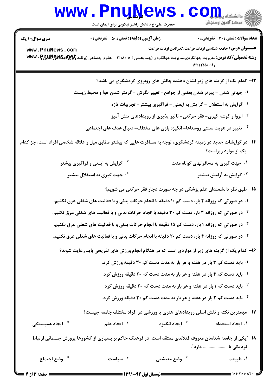## **www.PnuNews.com** ر سکر آزمون وسنجش<br>۱۸۷۷ - مرکز آزمون وسنجش

حضرت علی(ع): دانش راهبر نیکویی برای ایمان است

**تعداد سوالات : تستي : 30 - تشريحي : 0** 

**زمان آزمون (دقیقه) : تستی : 50 ٪ تشریحی: 0** 

**سری سوال : ۱ یک** 

عنـــوان درس: جامعه شناسي اوقات فراغت،گذراندن اوقات فراغت www.PnuNews.com رشته تحصیلی/کد درس: مدیریت جهانگردی،مدیریت جهانگردی (چندبخشی ) ۱۲۱۸۰۰۵ - ،علوم اجتماعی (برنامه अww. PpyuNgygy  $155510666$ 

۱۳- کدام یک از گزینه های زیر نشان دهنده چالش های روبروی گردشگری می باشد؟ ۰۱ جهانی شدن - پیرتر شدن بعضی از جوامع- تغییر نگرش - گرمتر شدن هوا و محیط زیست <sup>7</sup> . گرایش به استقلال - گرایش به ایمنی - فراگیری بیشتر - تجربیات تازه ۰<sup>۳</sup> انزوا و گوشه گیری- فقر حرکتی- تاثیر پذیری از رویدادهای تنش آمیز ۰۴ تغییر در هویت سنتی روستاها- انگیزه بازی های مختلف- دنبال هدف های اجتماعی **۱۴** در گرایشات جدید در زمینه گردشگری، توجه به مسافرت هایی که بیشتر مطابق میل و علاقه شخصی افراد است، جز کدام یک از موارد زیراست؟ <sup>۰۲</sup> گرایش به ایمنی و فراگیری بیشتر ۰۱ جهت گیری به مسافر تهای کوتاه مدت گرایش به آرامش بیشتر  $\cdot$ ۰<sup>۴</sup> جهت گیری به استقلال بیشتر 1۵– طبق نظر دانشمندان علم پزشکی در چه صورت دچار فقر حرکتی می شویم؟ ۰۱ در صورتی که روزانه ۲ بار، دست کم ۱۰ دقیقه با انجام حرکات بدنی و با فعالیت های شغلی عرق نکنیم. **10 در صورتی که روزانه ۳ بار، دست کم ۳۰ دقیقه با انجام حرکات بدنی و با فعالیت های شغلی عرق نکنیم. 4 . در صورتی که روزانه ۱ بار، دست کم ۱۵ دقیقه با انجام حرکات بدنی و با فعالیت های شغلی عرق نکنیم. ۴ . در صورتی که روزانه ۴ بار، دست کم ۲۰ دقیقه با انجام حرکات بدنی و با فعالیت های شغلی عرق نکنیم.** ۱۶- کدام یک از گزینه های زیر از مواردی است که در هنگام انجام ورزش های تفریحی باید رعایت شوند؟ ۰۱ باید دست کم ۳ بار در هفته و هر بار به مدت دست کم ۳۰ دقیقه ورزش کرد. <sup>7</sup>· باید دست کم ۴ بار در هفته و هر بار به مدت دست کم ۲۰ دقیقه ورزش کرد. **4 . باید دست کم ۱ بار در هفته و هر بار به مدت دست کم ۲۰ دقیقه ورزش کرد.** ۰۴ باید دست کم ۲ بار در هفته و هر بار به مدت دست کم ۳۰ دقیقه ورزش کرد. ۱۷- مهمترین نکته و نقش اصلی رویدادهای هنری یا ورزشی در افراد مختلف جامعه چیست؟ ۰۳ ایجاد علم <sup>۲.</sup> ایجاد انگیزه ۰<sup>۴</sup> ایجاد همیستگی ۰۱ ایجاد استعداد ۱۸– "یکی از جامعه شناسان معروف فنلاندی معتقد است، در فرهنگ حاکم بر بسیاری از کشورها پرورش جسمانی ارتباط نزدیکی با ..................... دارد". ۰۴ وضع اجتماع سىاست  $\cdot$ ١. طبيعت ۰۲ وضع معیشت<u>ی</u>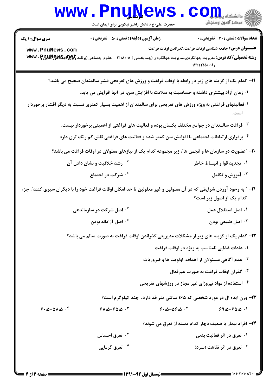|                        | WWW.Pnullews.com                                                                                                 |                                       |  |
|------------------------|------------------------------------------------------------------------------------------------------------------|---------------------------------------|--|
|                        | حضرت علی(ع): دانش راهبر نیکویی برای ایمان است                                                                    |                                       |  |
| <b>سری سوال :</b> ۱ یک | <b>زمان آزمون (دقیقه) : تستی : 50 ٪ تشریحی : 0</b>                                                               | نعداد سوالات : تستي : 30 ٪ تشريحي : 0 |  |
| www.PnuNews.com        | عنـــوان درس: جامعه شناسي اوقات فراغت،گذراندن اوقات فراغت                                                        |                                       |  |
|                        | رشته تحصیلی/کد درس: مدیریت جهانگردی،مدیریت جهانگردی (چندبخشی ) ۱۲۱۸۰۰۵ - ،علوم اجتماعی (برنامه अफ्फर . ट्रिमुस अ |                                       |  |
|                        |                                                                                                                  | , فاه) ۱۲۲۲۲۵                         |  |

- ۱۹- کدام یک از گزینه های زیر در رابطه با اوقات فراغت و ورزش های تفریحی قشر سالمندان صحیح می باشد؟
	- ۰۱ زمان آزاد بیشتری داشته و حساسیت به سلامت با افزایش سن، در آنها افزایش می یابد.
- <sup>۲</sup> فعالیتهای فراغتی به ویژه ورزش های تفریحی برای سالمندان از اهمیت بسیار کمتری نسبت به دیگر اقشار برخوردار
	- <sup>۳.</sup> فراغت سالمندان در جوامع مختلف یکسان بوده و فعالیت های فراغتی از اهمیتی برخوردار نیست.
	- <sup>۴</sup> . برقراری ارتباطات اجتماعی با افزایش سن کمتر شده و فعالیت های فراغتی نقش کم رنگ تری دارد.
	- ۲۰- "عضویت در سازمان ها و انجمن ها"، زیر مجموعه کدام یک از نیازهای معلولان در اوقات فراغت می باشد؟
		- <sup>۲</sup>۰ رشد خلاقیت و نشان دادن آن ۰۱ تجدید قوا و انبساط خاطر
			- ۰۴ شرکت در اجتماع **4. آموزش و تکامل**
- **۲۱** ″ به وجود آوردن شرایطی که در آن معلولین و غیر معلولین تا حد امکان اوقات فراغت خود را با دیگران سپری کنند″، جزء كدام یک از اصول زیر است؟
	- **10 اصل شرکت در سازماندهی** ٠١ اصل استقلال عمل ۰۴ اصل آزادانه بودن ۰<sup>۳</sup> اصل طبیعی بودن

٢٢- كدام يك از گزينه هاي زير از مشكلات مديريتي گذراندن اوقات فراغت به صورت سالم مي باشد؟

- ۰۱ عادات غذایی نامناسب به ویژه در اوقات فراغت
- <sup>۲</sup>۰ عدم آگاهی مسئولان از اهداف، اولویت ها و ضروریات
	- ۰۳ گذران اوقات فراغت به صورت غیرفعال
- <sup>۰۴</sup> استفاده از مواد نیروزای غیر مجاز در ورزشهای تفریحی

**۲۳**- وزن ایده ال در مورد شخصی که ۱۶۵ سانتی متر قد دارد، چند کیلوگرم است؟

 $91.0 - 90.0$   $V$  $9.2 - 0.96 - 0.7$  $99.0 - 90.0$ .

۲۴- افراد بیمار یا ضعیف دچار کدام دسته از تعرق می شوند؟

۰۱ تعرق در اثر فعالیت بدنی **10 تعرق احساس** ۰<sup>۴</sup> تعرق گرمایی ۰<sup>۳</sup> تعرق در اثر نقاهت (سرد)

 $9.0 - 01.0$ .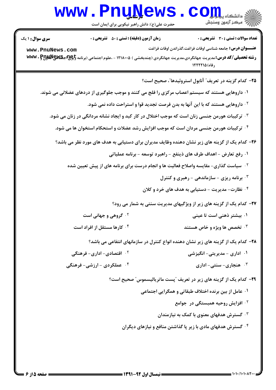## **www.PnuNews.com** است.<br>است مرکز آزمون وسنجش

حضرت علی(ع): دانش راهبر نیکویی برای ایمان است

**تعداد سوالات : تستي : 30 - تشريحي : 0** 

**زمان آزمون (دقیقه) : تستی : 50 ٪ تشریحی: 0** 

www.PnuNews.com

**سری سوال : ۱ یک** 

رشته تحصیلی/کد درس: مدیریت جهانگردی،مدیریت جهانگردی (چندبخشی ) ۱۲۱۸۰۰۵ - ،علوم اجتماعی (برنامه अww. PpyuNgygy  $155510666$ 

٢٥- كدام گزينه در تعريف" آنابول استروئيدها"، صحيح است؟

عنـــوان درس: جامعه شناسي اوقات فراغت،گذراندن اوقات فراغت

- ۰۱ داروهایی هستند که سیستم اعصاب مرکزی را فلج می کنند و موجب جلوگیری از دردهای عضلانی می شوند.
	- <sup>۲ .</sup> داروهایی هستند که با این آنها به بدن فرصت تجدید قوا و استراحت داده نمی شود.
	- ۰<sup>۳ ت</sup>رکیبات هورمن جنسی زنان است که موجب اختلال در کار کبد و ایجاد نشانه مردانگی در زنان می شود.
		- <sup>۴</sup> · تركيبات هورمن جنسي مردان است كه موجب افزايش رشد عضلات و استحكام استخوان ها مي شود.

۲۶– کدام یک از گزینه های زیر نشان دهنده وظایف مدیران برای دستیابی به هدف های مورد نظر می باشد؟

- ۰۱ رفع تعارض اهداف طرف های ذینفع راهبرد توسعه برنامه عملیاتی
- <sup>۲</sup>۰ سیاست گذاری- مقایسه واصلاح فعالیت ها و انجام درست برای برنامه های از پیش تعیین شده
	- .<br>۳. برنامه ریزی سازماندهی رهبری و کنترل
	- ۰۴ نظارت- مدیریت دستیابی به هدف های خرد و کلان

۲۷- کدام یک از گزینه های زیر از ویژگیهای مدیریت سنتی به شمار می رود؟

- **10 گروهی و جهانی است** ۰۱ بیشتر ذهنی است تا عینی
- ۰۴ کارها مستقل از افراد است ۰۳ ت*خصص* ها ویژه و خاص هستند

۲۸- کدام یک از گزینه های زیر نشان دهنده انواع کنترل در سازمانهای انتفاعی می باشد؟

- ۰<sup>۲</sup> اقتصادی- اداری- فرهنگی ۰۱ اداری - مدیریتی- انگیزشی
- ۰۴ عملکردی ارزشي- فرهنگي ۰۳ هنجاری- سنتی- اداری

**۲۹**- کدام یک از گزینه های زیر در تعریف "پست ماتریالیسموس" صحیح است؟

- ۰۱ عامل از بين برنده اختلاف طبقاتي و همگرايي اجتماعي
	- <sup>۲</sup> افزایش روحیه همبستگی در جوامع
	- <sup>۰۳</sup> گسترش هدفهای معنوی با کمک به نیازمندان
- <sup>۴.</sup> گسترش هدفهای مادی با زیر یا گذاشتن منافع و نیازهای دیگران